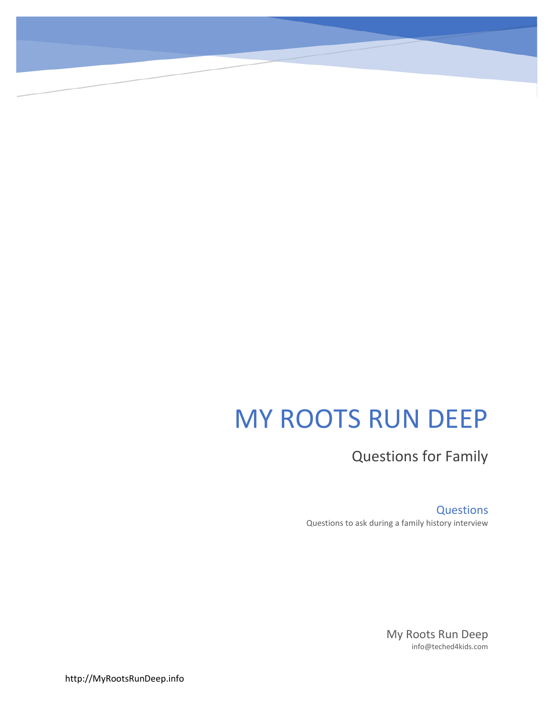# MY ROOTS RUN DEEP

Questions for Family

**Questions** Questions to ask during a family history interview

> My Roots Run Deep info@teched4kids.com

http://MyRootsRunDeep.info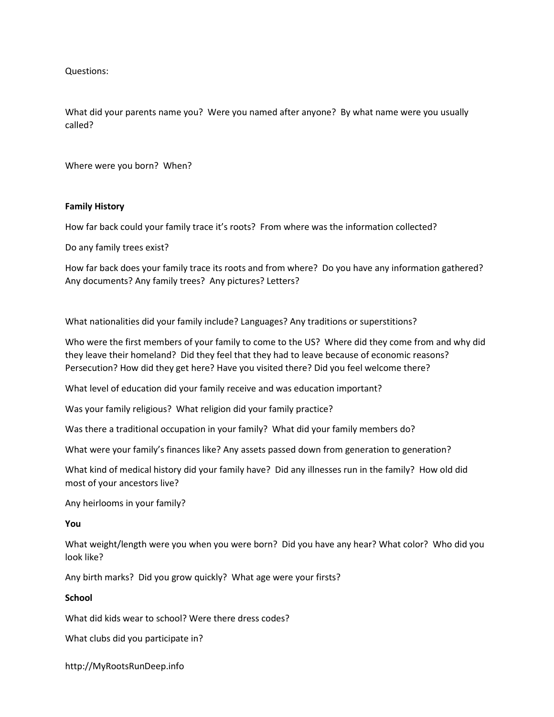Questions:

What did your parents name you? Were you named after anyone? By what name were you usually called?

Where were you born? When?

# **Family History**

How far back could your family trace it's roots? From where was the information collected?

Do any family trees exist?

How far back does your family trace its roots and from where? Do you have any information gathered? Any documents? Any family trees? Any pictures? Letters?

What nationalities did your family include? Languages? Any traditions or superstitions?

Who were the first members of your family to come to the US? Where did they come from and why did they leave their homeland? Did they feel that they had to leave because of economic reasons? Persecution? How did they get here? Have you visited there? Did you feel welcome there?

What level of education did your family receive and was education important?

Was your family religious? What religion did your family practice?

Was there a traditional occupation in your family? What did your family members do?

What were your family's finances like? Any assets passed down from generation to generation?

What kind of medical history did your family have? Did any illnesses run in the family? How old did most of your ancestors live?

Any heirlooms in your family?

## **You**

What weight/length were you when you were born? Did you have any hear? What color? Who did you look like?

Any birth marks? Did you grow quickly? What age were your firsts?

### **School**

What did kids wear to school? Were there dress codes?

What clubs did you participate in?

http://MyRootsRunDeep.info